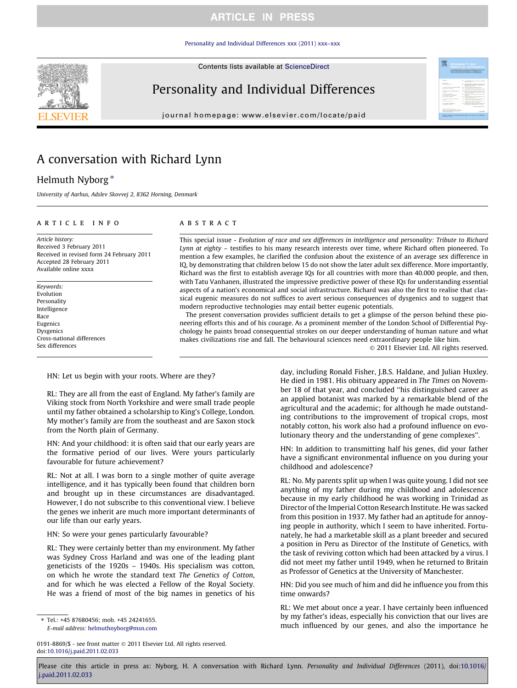## **ARTICLE IN PRESS**

#### [Personality and Individual Differences xxx \(2011\) xxx–xxx](http://dx.doi.org/10.1016/j.paid.2011.02.033)



# Personality and Individual Differences

journal homepage: [www.elsevier.com/locate/paid](http://www.elsevier.com/locate/paid)

|                                                                    | <b>PERSONALITY AND</b><br><b>INDIVIDUAL DIFFERENCES</b><br>AN INTERNATIONAL JOURNAL OF RESEARCH AFO THE<br>ATRUSTIVE AND SEVELOPERAT OF PERSONALITY |
|--------------------------------------------------------------------|-----------------------------------------------------------------------------------------------------------------------------------------------------|
| <b>Systems</b>                                                     | AND THE CALIBATION OF INDIVIDUAL COPPERATIONS<br>the formation were to be furth of futured<br>$\sim$                                                |
| <b>Service State</b><br>of them I set the fact                     | The Cheese Comes Summer State Adventure will<br>$\sim$<br>sence we as exceed a first start in<br><b>Early Ford Holly</b>                            |
| A finalism 16 Boxy & Inc.<br>It must as 14 concern                 | Scouts homes schem of cours-<br>A scalario consta e la bostona ad co-<br>$\sim$<br>that a red book account work of all the solar                    |
| this Morris A.A. South A.M.<br><br>a barre                         | Monthal council and interested rational as their<br>$\sim$<br>sense in the processes throwing supports the cross and<br>announcement or politics    |
| <b>Side Moneys</b> , A.D. McArrent<br>are depositors are i.e. from | $\sim$<br>Books and the address to permitted at any<br>--                                                                                           |
| trate-from out 2.1 Sections                                        | <b>Rolleigh, Astron, All Morte Murat, It is a</b><br>$\sim$<br>A Cherry Mill Service                                                                |
| Fo has hi this to those and<br>A Monte                             | The course of the fact that the same of the<br>-                                                                                                    |
| And should work the benever                                        | $\sim$<br><b>Reading Card Avenue</b><br>store determine who we would not                                                                            |
| an access a closurer<br>a blanding and down                        | THE WARRANT AND LORES MATERIAL PARKETERS.<br>the production of a decided through that the product                                                   |
|                                                                    | <b>President of clevel but more</b>                                                                                                                 |
| <b>MELLINGUIS-</b>                                                 | $-27.77$                                                                                                                                            |

# A conversation with Richard Lynn

## Helmuth Nyborg\*

University of Aarhus, Adslev Skovvej 2, 8362 Horning, Denmark

### article info

Article history: Received 3 February 2011 Received in revised form 24 February 2011 Accepted 28 February 2011 Available online xxxx

Keywords: Evolution Personality Intelligence Race Eugenics Dysgenics Cross-national differences Sex differences

### **ABSTRACT**

This special issue - Evolution of race and sex differences in intelligence and personality: Tribute to Richard Lynn at eighty – testifies to his many research interests over time, where Richard often pioneered. To mention a few examples, he clarified the confusion about the existence of an average sex difference in IQ, by demonstrating that children below 15 do not show the later adult sex difference. More importantly, Richard was the first to establish average IQs for all countries with more than 40.000 people, and then, with Tatu Vanhanen, illustrated the impressive predictive power of these IQs for understanding essential aspects of a nation's economical and social infrastructure. Richard was also the first to realise that classical eugenic measures do not suffices to avert serious consequences of dysgenics and to suggest that modern reproductive technologies may entail better eugenic potentials.

The present conversation provides sufficient details to get a glimpse of the person behind these pioneering efforts this and of his courage. As a prominent member of the London School of Differential Psychology he paints broad consequential strokes on our deeper understanding of human nature and what makes civilizations rise and fall. The behavioural sciences need extraordinary people like him.

- 2011 Elsevier Ltd. All rights reserved.

HN: Let us begin with your roots. Where are they?

RL: They are all from the east of England. My father's family are Viking stock from North Yorkshire and were small trade people until my father obtained a scholarship to King's College, London. My mother's family are from the southeast and are Saxon stock from the North plain of Germany.

HN: And your childhood: it is often said that our early years are the formative period of our lives. Were yours particularly favourable for future achievement?

RL: Not at all. I was born to a single mother of quite average intelligence, and it has typically been found that children born and brought up in these circumstances are disadvantaged. However, I do not subscribe to this conventional view. I believe the genes we inherit are much more important determinants of our life than our early years.

HN: So were your genes particularly favourable?

RL: They were certainly better than my environment. My father was Sydney Cross Harland and was one of the leading plant geneticists of the 1920s – 1940s. His specialism was cotton, on which he wrote the standard text The Genetics of Cotton, and for which he was elected a Fellow of the Royal Society. He was a friend of most of the big names in genetics of his

day, including Ronald Fisher, J.B.S. Haldane, and Julian Huxley. He died in 1981. His obituary appeared in The Times on November 18 of that year, and concluded ''his distinguished career as an applied botanist was marked by a remarkable blend of the agricultural and the academic; for although he made outstanding contributions to the improvement of tropical crops, most notably cotton, his work also had a profound influence on evolutionary theory and the understanding of gene complexes''.

HN: In addition to transmitting half his genes, did your father have a significant environmental influence on you during your childhood and adolescence?

RL: No. My parents split up when I was quite young. I did not see anything of my father during my childhood and adolescence because in my early childhood he was working in Trinidad as Director of the Imperial Cotton Research Institute. He was sacked from this position in 1937. My father had an aptitude for annoying people in authority, which I seem to have inherited. Fortunately, he had a marketable skill as a plant breeder and secured a position in Peru as Director of the Institute of Genetics, with the task of reviving cotton which had been attacked by a virus. I did not meet my father until 1949, when he returned to Britain as Professor of Genetics at the University of Manchester.

HN: Did you see much of him and did he influence you from this time onwards?

RL: We met about once a year. I have certainly been influenced by my father's ideas, especially his conviction that our lives are much influenced by our genes, and also the importance he

<sup>⇑</sup> Tel.: +45 87680456; mob. +45 24241655. E-mail address: [helmuthnyborg@msn.com](mailto:helmuthnyborg@msn.com)

<sup>0191-8869/\$ -</sup> see front matter © 2011 Elsevier Ltd. All rights reserved. doi[:10.1016/j.paid.2011.02.033](http://dx.doi.org/10.1016/j.paid.2011.02.033)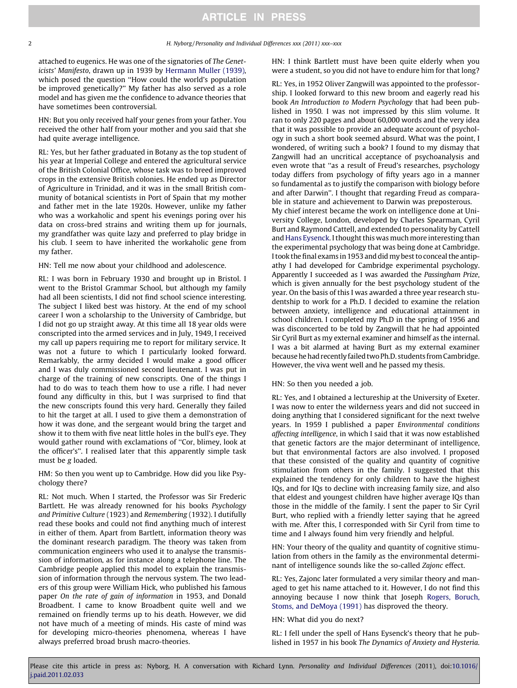attached to eugenics. He was one of the signatories of The Geneticists' Manifesto, drawn up in 1939 by [Hermann Muller \(1939\),](#page-5-0) which posed the question ''How could the world's population be improved genetically?'' My father has also served as a role model and has given me the confidence to advance theories that have sometimes been controversial.

HN: But you only received half your genes from your father. You received the other half from your mother and you said that she had quite average intelligence.

RL: Yes, but her father graduated in Botany as the top student of his year at Imperial College and entered the agricultural service of the British Colonial Office, whose task was to breed improved crops in the extensive British colonies. He ended up as Director of Agriculture in Trinidad, and it was in the small British community of botanical scientists in Port of Spain that my mother and father met in the late 1920s. However, unlike my father who was a workaholic and spent his evenings poring over his data on cross-bred strains and writing them up for journals, my grandfather was quite lazy and preferred to play bridge in his club. I seem to have inherited the workaholic gene from my father.

HN: Tell me now about your childhood and adolescence.

RL: I was born in February 1930 and brought up in Bristol. I went to the Bristol Grammar School, but although my family had all been scientists, I did not find school science interesting. The subject I liked best was history. At the end of my school career I won a scholarship to the University of Cambridge, but I did not go up straight away. At this time all 18 year olds were conscripted into the armed services and in July, 1949, I received my call up papers requiring me to report for military service. It was not a future to which I particularly looked forward. Remarkably, the army decided I would make a good officer and I was duly commissioned second lieutenant. I was put in charge of the training of new conscripts. One of the things I had to do was to teach them how to use a rifle. I had never found any difficulty in this, but I was surprised to find that the new conscripts found this very hard. Generally they failed to hit the target at all. I used to give them a demonstration of how it was done, and the sergeant would bring the target and show it to them with five neat little holes in the bull's eye. They would gather round with exclamations of ''Cor, blimey, look at the officer's''. I realised later that this apparently simple task must be g loaded.

HM: So then you went up to Cambridge. How did you like Psychology there?

RL: Not much. When I started, the Professor was Sir Frederic Bartlett. He was already renowned for his books Psychology and Primitive Culture (1923) and Remembering (1932). I dutifully read these books and could not find anything much of interest in either of them. Apart from Bartlett, information theory was the dominant research paradigm. The theory was taken from communication engineers who used it to analyse the transmission of information, as for instance along a telephone line. The Cambridge people applied this model to explain the transmission of information through the nervous system. The two leaders of this group were William Hick, who published his famous paper On the rate of gain of information in 1953, and Donald Broadbent. I came to know Broadbent quite well and we remained on friendly terms up to his death. However, we did not have much of a meeting of minds. His caste of mind was for developing micro-theories phenomena, whereas I have always preferred broad brush macro-theories.

HN: I think Bartlett must have been quite elderly when you were a student, so you did not have to endure him for that long?

RL: Yes, in 1952 Oliver Zangwill was appointed to the professorship. I looked forward to this new broom and eagerly read his book An Introduction to Modern Psychology that had been published in 1950. I was not impressed by this slim volume. It ran to only 220 pages and about 60,000 words and the very idea that it was possible to provide an adequate account of psychology in such a short book seemed absurd. What was the point, I wondered, of writing such a book? I found to my dismay that Zangwill had an uncritical acceptance of psychoanalysis and even wrote that ''as a result of Freud's researches, psychology today differs from psychology of fifty years ago in a manner so fundamental as to justify the comparison with biology before and after Darwin''. I thought that regarding Freud as comparable in stature and achievement to Darwin was preposterous. My chief interest became the work on intelligence done at University College, London, developed by Charles Spearman, Cyril Burt and Raymond Cattell, and extended to personality by Cattell and [Hans Eysenck](#page-5-0). I thought this was much more interesting than the experimental psychology that was being done at Cambridge. I took the final exams in 1953 and did my best to conceal the antipathy I had developed for Cambridge experimental psychology. Apparently I succeeded as I was awarded the Passingham Prize, which is given annually for the best psychology student of the year. On the basis of this I was awarded a three year research studentship to work for a Ph.D. I decided to examine the relation between anxiety, intelligence and educational attainment in school children. I completed my Ph.D in the spring of 1956 and was disconcerted to be told by Zangwill that he had appointed Sir Cyril Burt as my external examiner and himself as the internal. I was a bit alarmed at having Burt as my external examiner because he had recently failed two Ph.D. students from Cambridge. However, the viva went well and he passed my thesis.

#### HN: So then you needed a job.

RL: Yes, and I obtained a lectureship at the University of Exeter. I was now to enter the wilderness years and did not succeed in doing anything that I considered significant for the next twelve years. In 1959 I published a paper Environmental conditions affecting intelligence, in which I said that it was now established that genetic factors are the major determinant of intelligence, but that environmental factors are also involved. I proposed that these consisted of the quality and quantity of cognitive stimulation from others in the family. I suggested that this explained the tendency for only children to have the highest IQs, and for IQs to decline with increasing family size, and also that eldest and youngest children have higher average IQs than those in the middle of the family. I sent the paper to Sir Cyril Burt, who replied with a friendly letter saying that he agreed with me. After this, I corresponded with Sir Cyril from time to time and I always found him very friendly and helpful.

HN: Your theory of the quality and quantity of cognitive stimulation from others in the family as the environmental determinant of intelligence sounds like the so-called Zajonc effect.

RL: Yes, Zajonc later formulated a very similar theory and managed to get his name attached to it. However, I do not find this annoying because I now think that Joseph [Rogers, Boruch,](#page-5-0) [Stoms, and DeMoya \(1991\)](#page-5-0) has disproved the theory.

#### HN: What did you do next?

RL: I fell under the spell of Hans Eysenck's theory that he published in 1957 in his book The Dynamics of Anxiety and Hysteria.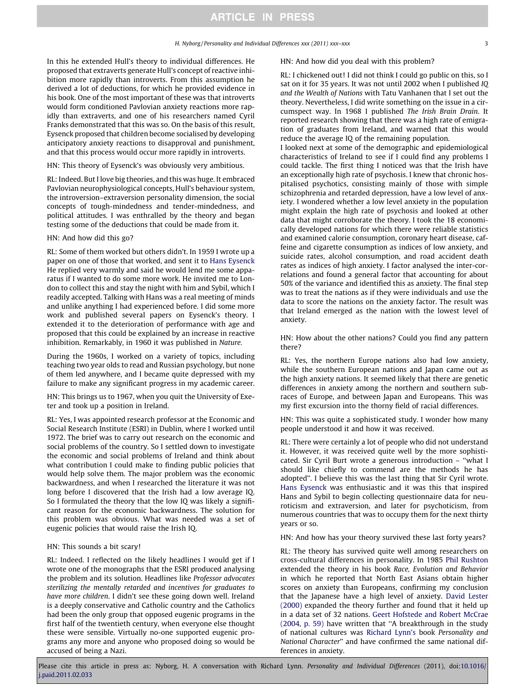In this he extended Hull's theory to individual differences. He proposed that extraverts generate Hull's concept of reactive inhibition more rapidly than introverts. From this assumption he derived a lot of deductions, for which he provided evidence in his book. One of the most important of these was that introverts would form conditioned Pavlovian anxiety reactions more rapidly than extraverts, and one of his researchers named Cyril Franks demonstrated that this was so. On the basis of this result, Eysenck proposed that children become socialised by developing anticipatory anxiety reactions to disapproval and punishment, and that this process would occur more rapidly in introverts.

#### HN: This theory of Eysenck's was obviously very ambitious.

RL: Indeed. But I love big theories, and this was huge. It embraced Pavlovian neurophysiological concepts, Hull's behaviour system, the introversion–extraversion personality dimension, the social concepts of tough-mindedness and tender-mindedness, and political attitudes. I was enthralled by the theory and began testing some of the deductions that could be made from it.

#### HN: And how did this go?

RL: Some of them worked but others didn't. In 1959 I wrote up a paper on one of those that worked, and sent it to [Hans Eysenck](#page-5-0) He replied very warmly and said he would lend me some apparatus if I wanted to do some more work. He invited me to London to collect this and stay the night with him and Sybil, which I readily accepted. Talking with Hans was a real meeting of minds and unlike anything I had experienced before. I did some more work and published several papers on Eysenck's theory. I extended it to the deterioration of performance with age and proposed that this could be explained by an increase in reactive inhibition. Remarkably, in 1960 it was published in Nature.

During the 1960s, I worked on a variety of topics, including teaching two year olds to read and Russian psychology, but none of them led anywhere, and I became quite depressed with my failure to make any significant progress in my academic career.

HN: This brings us to 1967, when you quit the University of Exeter and took up a position in Ireland.

RL: Yes, I was appointed research professor at the Economic and Social Research Institute (ESRI) in Dublin, where I worked until 1972. The brief was to carry out research on the economic and social problems of the country. So I settled down to investigate the economic and social problems of Ireland and think about what contribution I could make to finding public policies that would help solve them. The major problem was the economic backwardness, and when I researched the literature it was not long before I discovered that the Irish had a low average IQ. So I formulated the theory that the low IQ was likely a significant reason for the economic backwardness. The solution for this problem was obvious. What was needed was a set of eugenic policies that would raise the Irish IQ.

#### HN: This sounds a bit scary!

RL: Indeed. I reflected on the likely headlines I would get if I wrote one of the monographs that the ESRI produced analysing the problem and its solution. Headlines like Professor advocates sterilizing the mentally retarded and incentives for graduates to have more children. I didn't see these going down well. Ireland is a deeply conservative and Catholic country and the Catholics had been the only group that opposed eugenic programs in the first half of the twentieth century, when everyone else thought these were sensible. Virtually no-one supported eugenic programs any more and anyone who proposed doing so would be accused of being a Nazi.

#### HN: And how did you deal with this problem?

RL: I chickened out! I did not think I could go public on this, so I sat on it for 35 years. It was not until 2002 when I published IQ and the Wealth of Nations with Tatu Vanhanen that I set out the theory. Nevertheless, I did write something on the issue in a circumspect way. In 1968 I published The Irish Brain Drain. It reported research showing that there was a high rate of emigration of graduates from Ireland, and warned that this would reduce the average IQ of the remaining population.

I looked next at some of the demographic and epidemiological characteristics of Ireland to see if I could find any problems I could tackle. The first thing I noticed was that the Irish have an exceptionally high rate of psychosis. I knew that chronic hospitalised psychotics, consisting mainly of those with simple schizophrenia and retarded depression, have a low level of anxiety. I wondered whether a low level anxiety in the population might explain the high rate of psychosis and looked at other data that might corroborate the theory. I took the 18 economically developed nations for which there were reliable statistics and examined calorie consumption, coronary heart disease, caffeine and cigarette consumption as indices of low anxiety, and suicide rates, alcohol consumption, and road accident death rates as indices of high anxiety. I factor analysed the inter-correlations and found a general factor that accounting for about 50% of the variance and identified this as anxiety. The final step was to treat the nations as if they were individuals and use the data to score the nations on the anxiety factor. The result was that Ireland emerged as the nation with the lowest level of anxiety.

HN: How about the other nations? Could you find any pattern there?

RL: Yes, the northern Europe nations also had low anxiety, while the southern European nations and Japan came out as the high anxiety nations. It seemed likely that there are genetic differences in anxiety among the northern and southern subraces of Europe, and between Japan and Europeans. This was my first excursion into the thorny field of racial differences.

HN: This was quite a sophisticated study. I wonder how many people understood it and how it was received.

RL: There were certainly a lot of people who did not understand it. However, it was received quite well by the more sophisticated. Sir Cyril Burt wrote a generous introduction – ''what I should like chiefly to commend are the methods he has adopted''. I believe this was the last thing that Sir Cyril wrote. [Hans Eysenck](#page-5-0) was enthusiastic and it was this that inspired Hans and Sybil to begin collecting questionnaire data for neuroticism and extraversion, and later for psychoticism, from numerous countries that was to occupy them for the next thirty years or so.

HN: And how has your theory survived these last forty years?

RL: The theory has survived quite well among researchers on cross-cultural differences in personality. In 1985 [Phil Rushton](#page-5-0) extended the theory in his book Race, Evolution and Behavior in which he reported that North East Asians obtain higher scores on anxiety than Europeans, confirming my conclusion that the Japanese have a high level of anxiety. [David Lester](#page-5-0) [\(2000\)](#page-5-0) expanded the theory further and found that it held up in a data set of 32 nations. [Geert Hofstede and Robert McCrae](#page-5-0) [\(2004, p. 59\)](#page-5-0) have written that ''A breakthrough in the study of national cultures was [Richard Lynn's](#page-5-0) book Personality and National Character'' and have confirmed the same national differences in anxiety.

Please cite this article in press as: Nyborg, H. A conversation with Richard Lynn. Personality and Individual Differences (2011), doi:[10.1016/](http://dx.doi.org/10.1016/j.paid.2011.02.033) [j.paid.2011.02.033](http://dx.doi.org/10.1016/j.paid.2011.02.033)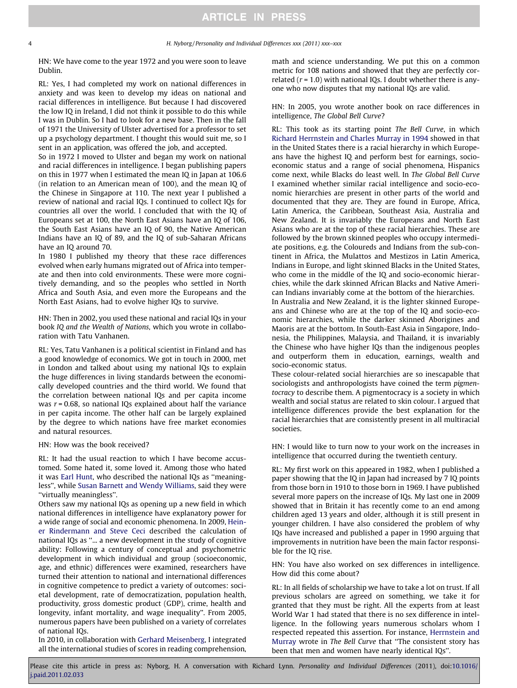#### 4 H. Nyborg / Personality and Individual Differences xxx (2011) xxx–xxx

HN: We have come to the year 1972 and you were soon to leave Dublin.

RL: Yes, I had completed my work on national differences in anxiety and was keen to develop my ideas on national and racial differences in intelligence. But because I had discovered the low IQ in Ireland, I did not think it possible to do this while I was in Dublin. So I had to look for a new base. Then in the fall of 1971 the University of Ulster advertised for a professor to set up a psychology department. I thought this would suit me, so I sent in an application, was offered the job, and accepted.

So in 1972 I moved to Ulster and began my work on national and racial differences in intelligence. I began publishing papers on this in 1977 when I estimated the mean IQ in Japan at 106.6 (in relation to an American mean of 100), and the mean IQ of the Chinese in Singapore at 110. The next year I published a review of national and racial IQs. I continued to collect IQs for countries all over the world. I concluded that with the IQ of Europeans set at 100, the North East Asians have an IQ of 106, the South East Asians have an IQ of 90, the Native American Indians have an IQ of 89, and the IQ of sub-Saharan Africans have an IQ around 70.

In 1980 I published my theory that these race differences evolved when early humans migrated out of Africa into temperate and then into cold environments. These were more cognitively demanding, and so the peoples who settled in North Africa and South Asia, and even more the Europeans and the North East Asians, had to evolve higher IQs to survive.

HN: Then in 2002, you used these national and racial IQs in your book IQ and the Wealth of Nations, which you wrote in collaboration with Tatu Vanhanen.

RL: Yes, Tatu Vanhanen is a political scientist in Finland and has a good knowledge of economics. We got in touch in 2000, met in London and talked about using my national IQs to explain the huge differences in living standards between the economically developed countries and the third world. We found that the correlation between national IQs and per capita income was  $r = 0.68$ , so national IQs explained about half the variance in per capita income. The other half can be largely explained by the degree to which nations have free market economies and natural resources.

#### HN: How was the book received?

RL: It had the usual reaction to which I have become accustomed. Some hated it, some loved it. Among those who hated it was [Earl Hunt,](#page-5-0) who described the national IQs as ''meaningless'', while [Susan Barnett and Wendy Williams](#page-5-0), said they were ''virtually meaningless''.

Others saw my national IQs as opening up a new field in which national differences in intelligence have explanatory power for a wide range of social and economic phenomena. In 2009, [Hein](#page-5-0)[er Rindermann and Steve Ceci](#page-5-0) described the calculation of national IQs as ''... a new development in the study of cognitive ability: Following a century of conceptual and psychometric development in which individual and group (socioeconomic, age, and ethnic) differences were examined, researchers have turned their attention to national and international differences in cognitive competence to predict a variety of outcomes: societal development, rate of democratization, population health, productivity, gross domestic product (GDP), crime, health and longevity, infant mortality, and wage inequality''. From 2005, numerous papers have been published on a variety of correlates of national IQs.

In 2010, in collaboration with [Gerhard Meisenberg,](#page-5-0) I integrated all the international studies of scores in reading comprehension,

math and science understanding. We put this on a common metric for 108 nations and showed that they are perfectly correlated  $(r = 1.0)$  with national IQs. I doubt whether there is anyone who now disputes that my national IQs are valid.

HN: In 2005, you wrote another book on race differences in intelligence, The Global Bell Curve?

RL: This took as its starting point The Bell Curve, in which [Richard Herrnstein and Charles Murray in 1994](#page-5-0) showed in that in the United States there is a racial hierarchy in which Europeans have the highest IQ and perform best for earnings, socioeconomic status and a range of social phenomena, Hispanics come next, while Blacks do least well. In The Global Bell Curve I examined whether similar racial intelligence and socio-economic hierarchies are present in other parts of the world and documented that they are. They are found in Europe, Africa, Latin America, the Caribbean, Southeast Asia, Australia and New Zealand. It is invariably the Europeans and North East Asians who are at the top of these racial hierarchies. These are followed by the brown skinned peoples who occupy intermediate positions, e.g. the Coloureds and Indians from the sub-continent in Africa, the Mulattos and Mestizos in Latin America, Indians in Europe, and light skinned Blacks in the United States, who come in the middle of the IQ and socio-economic hierarchies, while the dark skinned African Blacks and Native American Indians invariably come at the bottom of the hierarchies. In Australia and New Zealand, it is the lighter skinned Europeans and Chinese who are at the top of the IQ and socio-economic hierarchies, while the darker skinned Aborigines and Maoris are at the bottom. In South-East Asia in Singapore, Indonesia, the Philippines, Malaysia, and Thailand, it is invariably the Chinese who have higher IQs than the indigenous peoples and outperform them in education, earnings, wealth and

These colour-related social hierarchies are so inescapable that sociologists and anthropologists have coined the term pigmentocracy to describe them. A pigmentocracy is a society in which wealth and social status are related to skin colour. I argued that intelligence differences provide the best explanation for the racial hierarchies that are consistently present in all multiracial societies.

socio-economic status.

HN: I would like to turn now to your work on the increases in intelligence that occurred during the twentieth century.

RL: My first work on this appeared in 1982, when I published a paper showing that the IQ in Japan had increased by 7 IQ points from those born in 1910 to those born in 1969. I have published several more papers on the increase of IQs. My last one in 2009 showed that in Britain it has recently come to an end among children aged 13 years and older, although it is still present in younger children. I have also considered the problem of why IQs have increased and published a paper in 1990 arguing that improvements in nutrition have been the main factor responsible for the IQ rise.

HN: You have also worked on sex differences in intelligence. How did this come about?

RL: In all fields of scholarship we have to take a lot on trust. If all previous scholars are agreed on something, we take it for granted that they must be right. All the experts from at least World War 1 had stated that there is no sex difference in intelligence. In the following years numerous scholars whom I respected repeated this assertion. For instance, [Herrnstein and](#page-5-0) [Murray](#page-5-0) wrote in The Bell Curve that ''The consistent story has been that men and women have nearly identical IQs''.

Please cite this article in press as: Nyborg, H. A conversation with Richard Lynn. Personality and Individual Differences (2011), doi[:10.1016/](http://dx.doi.org/10.1016/j.paid.2011.02.033) [j.paid.2011.02.033](http://dx.doi.org/10.1016/j.paid.2011.02.033)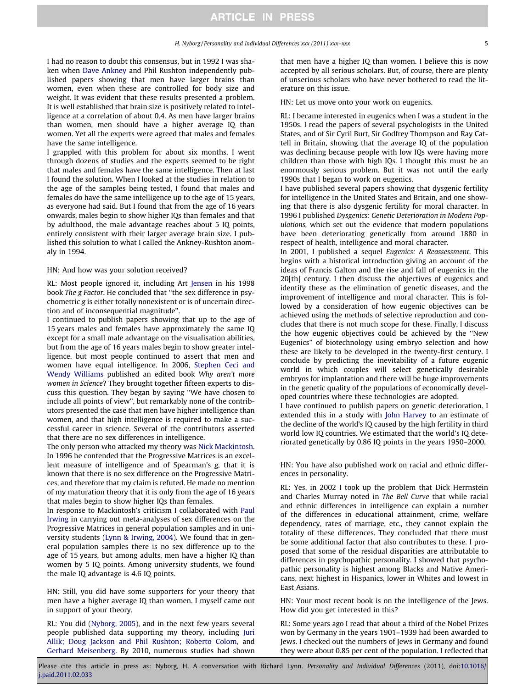I had no reason to doubt this consensus, but in 1992 I was shaken when [Dave Ankney](#page-5-0) and Phil Rushton independently published papers showing that men have larger brains than women, even when these are controlled for body size and weight. It was evident that these results presented a problem. It is well established that brain size is positively related to intelligence at a correlation of about 0.4. As men have larger brains than women, men should have a higher average IQ than women. Yet all the experts were agreed that males and females have the same intelligence.

I grappled with this problem for about six months. I went through dozens of studies and the experts seemed to be right that males and females have the same intelligence. Then at last I found the solution. When I looked at the studies in relation to the age of the samples being tested, I found that males and females do have the same intelligence up to the age of 15 years, as everyone had said. But I found that from the age of 16 years onwards, males begin to show higher IQs than females and that by adulthood, the male advantage reaches about 5 IQ points, entirely consistent with their larger average brain size. I published this solution to what I called the Ankney-Rushton anomaly in 1994.

#### HN: And how was your solution received?

RL: Most people ignored it, including Art [Jensen](#page-5-0) in his 1998 book The g Factor. He concluded that ''the sex difference in psychometric g is either totally nonexistent or is of uncertain direction and of inconsequential magnitude''.

I continued to publish papers showing that up to the age of 15 years males and females have approximately the same IQ except for a small male advantage on the visualisation abilities, but from the age of 16 years males begin to show greater intelligence, but most people continued to assert that men and women have equal intelligence. In 2006, [Stephen Ceci and](#page-5-0) [Wendy Williams](#page-5-0) published an edited book Why aren't more women in Science? They brought together fifteen experts to discuss this question. They began by saying ''We have chosen to include all points of view'', but remarkably none of the contributors presented the case that men have higher intelligence than women, and that high intelligence is required to make a successful career in science. Several of the contributors asserted that there are no sex differences in intelligence.

The only person who attacked my theory was [Nick Mackintosh.](#page-5-0) In 1996 he contended that the Progressive Matrices is an excellent measure of intelligence and of Spearman's g, that it is known that there is no sex difference on the Progressive Matrices, and therefore that my claim is refuted. He made no mention of my maturation theory that it is only from the age of 16 years that males begin to show higher IQs than females.

In response to Mackintosh's criticism I collaborated with [Paul](#page-5-0) [Irwing](#page-5-0) in carrying out meta-analyses of sex differences on the Progressive Matrices in general population samples and in university students [\(Lynn & Irwing, 2004\)](#page-5-0). We found that in general population samples there is no sex difference up to the age of 15 years, but among adults, men have a higher IQ than women by 5 IQ points. Among university students, we found the male IQ advantage is 4.6 IQ points.

HN: Still, you did have some supporters for your theory that men have a higher average IQ than women. I myself came out in support of your theory.

RL: You did [\(Nyborg, 2005](#page-5-0)), and in the next few years several people published data supporting my theory, including [Juri](#page-5-0) [Allik; Doug Jackson and Phil Rushton; Roberto Colom,](#page-5-0) and [Gerhard Meisenberg.](#page-5-0) By 2010, numerous studies had shown that men have a higher IQ than women. I believe this is now accepted by all serious scholars. But, of course, there are plenty of unserious scholars who have never bothered to read the literature on this issue.

HN: Let us move onto your work on eugenics.

RL: I became interested in eugenics when I was a student in the 1950s. I read the papers of several psychologists in the United States, and of Sir Cyril Burt, Sir Godfrey Thompson and Ray Cattell in Britain, showing that the average IQ of the population was declining because people with low IQs were having more children than those with high IQs. I thought this must be an enormously serious problem. But it was not until the early 1990s that I began to work on eugenics.

I have published several papers showing that dysgenic fertility for intelligence in the United States and Britain, and one showing that there is also dysgenic fertility for moral character. In 1996 I published Dysgenics: Genetic Deterioration in Modern Populations, which set out the evidence that modern populations have been deteriorating genetically from around 1880 in respect of health, intelligence and moral character.

In 2001, I published a sequel Eugenics: A Reassessment. This begins with a historical introduction giving an account of the ideas of Francis Galton and the rise and fall of eugenics in the 20[th] century. I then discuss the objectives of eugenics and identify these as the elimination of genetic diseases, and the improvement of intelligence and moral character. This is followed by a consideration of how eugenic objectives can be achieved using the methods of selective reproduction and concludes that there is not much scope for these. Finally, I discuss the how eugenic objectives could be achieved by the ''New Eugenics'' of biotechnology using embryo selection and how these are likely to be developed in the twenty-first century. I conclude by predicting the inevitability of a future eugenic world in which couples will select genetically desirable embryos for implantation and there will be huge improvements in the genetic quality of the populations of economically developed countries where these technologies are adopted.

I have continued to publish papers on genetic deterioration. I extended this in a study with [John Harvey](#page-5-0) to an estimate of the decline of the world's IQ caused by the high fertility in third world low IQ countries. We estimated that the world's IQ deteriorated genetically by 0.86 IQ points in the years 1950–2000.

HN: You have also published work on racial and ethnic differences in personality.

RL: Yes, in 2002 I took up the problem that Dick Herrnstein and Charles Murray noted in The Bell Curve that while racial and ethnic differences in intelligence can explain a number of the differences in educational attainment, crime, welfare dependency, rates of marriage, etc., they cannot explain the totality of these differences. They concluded that there must be some additional factor that also contributes to these. I proposed that some of the residual disparities are attributable to differences in psychopathic personality. I showed that psychopathic personality is highest among Blacks and Native Americans, next highest in Hispanics, lower in Whites and lowest in East Asians.

HN: Your most recent book is on the intelligence of the Jews. How did you get interested in this?

RL: Some years ago I read that about a third of the Nobel Prizes won by Germany in the years 1901–1939 had been awarded to Jews. I checked out the numbers of Jews in Germany and found they were about 0.85 per cent of the population. I reflected that

Please cite this article in press as: Nyborg, H. A conversation with Richard Lynn. Personality and Individual Differences (2011), doi:[10.1016/](http://dx.doi.org/10.1016/j.paid.2011.02.033) [j.paid.2011.02.033](http://dx.doi.org/10.1016/j.paid.2011.02.033)